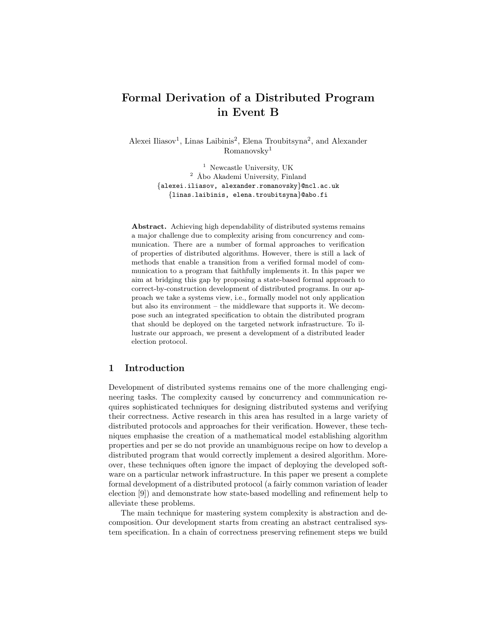# Formal Derivation of a Distributed Program in Event B

Alexei Iliasov<sup>1</sup>, Linas Laibinis<sup>2</sup>, Elena Troubitsyna<sup>2</sup>, and Alexander Romanovsky<sup>1</sup>

> <sup>1</sup> Newcastle University, UK  $^2\,$  Åbo Akademi University, Finland {alexei.iliasov, alexander.romanovsky}@ncl.ac.uk {linas.laibinis, elena.troubitsyna}@abo.fi

Abstract. Achieving high dependability of distributed systems remains a major challenge due to complexity arising from concurrency and communication. There are a number of formal approaches to verification of properties of distributed algorithms. However, there is still a lack of methods that enable a transition from a verified formal model of communication to a program that faithfully implements it. In this paper we aim at bridging this gap by proposing a state-based formal approach to correct-by-construction development of distributed programs. In our approach we take a systems view, i.e., formally model not only application but also its environment – the middleware that supports it. We decompose such an integrated specification to obtain the distributed program that should be deployed on the targeted network infrastructure. To illustrate our approach, we present a development of a distributed leader election protocol.

# 1 Introduction

Development of distributed systems remains one of the more challenging engineering tasks. The complexity caused by concurrency and communication requires sophisticated techniques for designing distributed systems and verifying their correctness. Active research in this area has resulted in a large variety of distributed protocols and approaches for their verification. However, these techniques emphasise the creation of a mathematical model establishing algorithm properties and per se do not provide an unambiguous recipe on how to develop a distributed program that would correctly implement a desired algorithm. Moreover, these techniques often ignore the impact of deploying the developed software on a particular network infrastructure. In this paper we present a complete formal development of a distributed protocol (a fairly common variation of leader election [9]) and demonstrate how state-based modelling and refinement help to alleviate these problems.

The main technique for mastering system complexity is abstraction and decomposition. Our development starts from creating an abstract centralised system specification. In a chain of correctness preserving refinement steps we build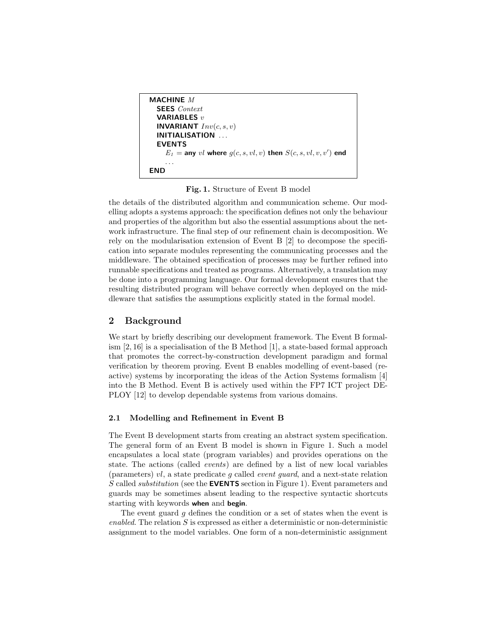```
MACHINE M
 SEES Context
 VARIABLES vINVARIANT Inv(c, s, v)INITIALISATION ...
 EVENTS
    E_1 = any vl where g(c, s, vl, v) then S(c, s, vl, v, v') end
    . . .
END
```
## Fig. 1. Structure of Event B model

the details of the distributed algorithm and communication scheme. Our modelling adopts a systems approach: the specification defines not only the behaviour and properties of the algorithm but also the essential assumptions about the network infrastructure. The final step of our refinement chain is decomposition. We rely on the modularisation extension of Event B [2] to decompose the specification into separate modules representing the communicating processes and the middleware. The obtained specification of processes may be further refined into runnable specifications and treated as programs. Alternatively, a translation may be done into a programming language. Our formal development ensures that the resulting distributed program will behave correctly when deployed on the middleware that satisfies the assumptions explicitly stated in the formal model.

# 2 Background

We start by briefly describing our development framework. The Event B formalism [2, 16] is a specialisation of the B Method [1], a state-based formal approach that promotes the correct-by-construction development paradigm and formal verification by theorem proving. Event B enables modelling of event-based (reactive) systems by incorporating the ideas of the Action Systems formalism [4] into the B Method. Event B is actively used within the FP7 ICT project DE-PLOY [12] to develop dependable systems from various domains.

## 2.1 Modelling and Refinement in Event B

The Event B development starts from creating an abstract system specification. The general form of an Event B model is shown in Figure 1. Such a model encapsulates a local state (program variables) and provides operations on the state. The actions (called events) are defined by a list of new local variables (parameters) vl, a state predicate g called event guard, and a next-state relation S called *substitution* (see the **EVENTS** section in Figure 1). Event parameters and guards may be sometimes absent leading to the respective syntactic shortcuts starting with keywords when and begin.

The event guard  $q$  defines the condition or a set of states when the event is enabled. The relation  $S$  is expressed as either a deterministic or non-deterministic assignment to the model variables. One form of a non-deterministic assignment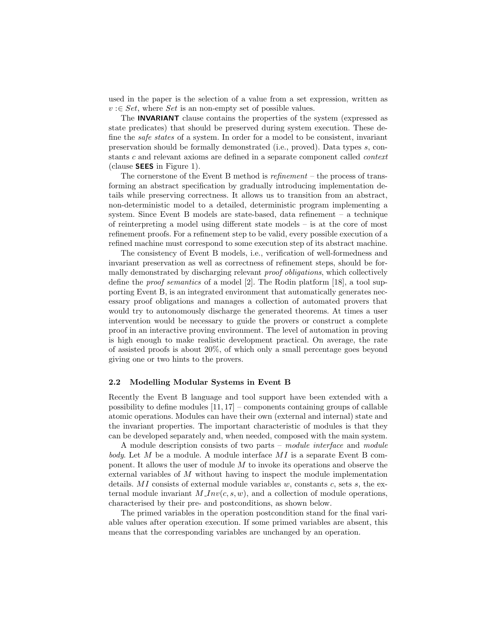used in the paper is the selection of a value from a set expression, written as  $v : \in Set$ , where  $Set$  is an non-empty set of possible values.

The INVARIANT clause contains the properties of the system (expressed as state predicates) that should be preserved during system execution. These define the safe states of a system. In order for a model to be consistent, invariant preservation should be formally demonstrated (i.e., proved). Data types s, constants c and relevant axioms are defined in a separate component called *context* (clause SEES in Figure 1).

The cornerstone of the Event B method is  $refinement - the process of trans$ forming an abstract specification by gradually introducing implementation details while preserving correctness. It allows us to transition from an abstract, non-deterministic model to a detailed, deterministic program implementing a system. Since Event B models are state-based, data refinement – a technique of reinterpreting a model using different state models – is at the core of most refinement proofs. For a refinement step to be valid, every possible execution of a refined machine must correspond to some execution step of its abstract machine.

The consistency of Event B models, i.e., verification of well-formedness and invariant preservation as well as correctness of refinement steps, should be formally demonstrated by discharging relevant proof obligations, which collectively define the *proof semantics* of a model [2]. The Rodin platform [18], a tool supporting Event B, is an integrated environment that automatically generates necessary proof obligations and manages a collection of automated provers that would try to autonomously discharge the generated theorems. At times a user intervention would be necessary to guide the provers or construct a complete proof in an interactive proving environment. The level of automation in proving is high enough to make realistic development practical. On average, the rate of assisted proofs is about 20%, of which only a small percentage goes beyond giving one or two hints to the provers.

#### 2.2 Modelling Modular Systems in Event B

Recently the Event B language and tool support have been extended with a possibility to define modules  $[11, 17]$  – components containing groups of callable atomic operations. Modules can have their own (external and internal) state and the invariant properties. The important characteristic of modules is that they can be developed separately and, when needed, composed with the main system.

A module description consists of two parts – module interface and module *body*. Let M be a module. A module interface  $MI$  is a separate Event B component. It allows the user of module  $M$  to invoke its operations and observe the external variables of M without having to inspect the module implementation details.  $MI$  consists of external module variables w, constants c, sets s, the external module invariant  $M_{\perp}Inv(c, s, w)$ , and a collection of module operations, characterised by their pre- and postconditions, as shown below.

The primed variables in the operation postcondition stand for the final variable values after operation execution. If some primed variables are absent, this means that the corresponding variables are unchanged by an operation.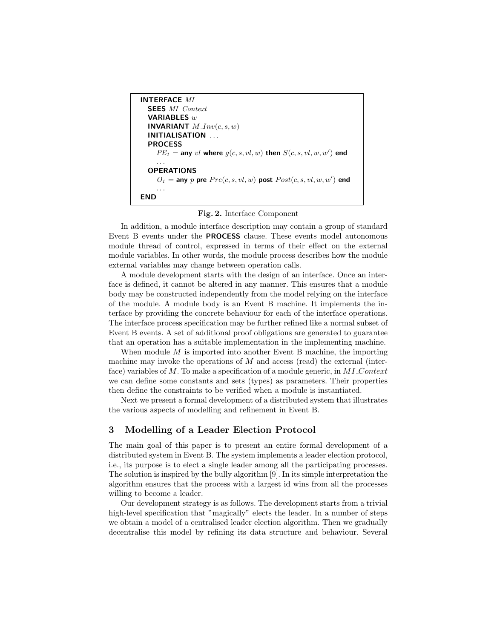```
INTERFACE MI
  SEES MI_Context
  VARIABLES w
  INVARIANT M_{Inv}(c, s, w)INITIALISATION ...
  PROCESS
     PE_1 = any vl where g(c, s, vl, w) then S(c, s, vl, w, w') end
     . . .
  OPERATIONS
     O_1 = any p pre Pre(c, s, vl, w) post Post(c, s, vl, w, w') end
     . . .
END
```
## Fig. 2. Interface Component

In addition, a module interface description may contain a group of standard Event B events under the PROCESS clause. These events model autonomous module thread of control, expressed in terms of their effect on the external module variables. In other words, the module process describes how the module external variables may change between operation calls.

A module development starts with the design of an interface. Once an interface is defined, it cannot be altered in any manner. This ensures that a module body may be constructed independently from the model relying on the interface of the module. A module body is an Event B machine. It implements the interface by providing the concrete behaviour for each of the interface operations. The interface process specification may be further refined like a normal subset of Event B events. A set of additional proof obligations are generated to guarantee that an operation has a suitable implementation in the implementing machine.

When module  $M$  is imported into another Event B machine, the importing machine may invoke the operations of  $M$  and access (read) the external (interface) variables of  $M$ . To make a specification of a module generic, in  $MI\_Context$ we can define some constants and sets (types) as parameters. Their properties then define the constraints to be verified when a module is instantiated.

Next we present a formal development of a distributed system that illustrates the various aspects of modelling and refinement in Event B.

## 3 Modelling of a Leader Election Protocol

The main goal of this paper is to present an entire formal development of a distributed system in Event B. The system implements a leader election protocol, i.e., its purpose is to elect a single leader among all the participating processes. The solution is inspired by the bully algorithm [9]. In its simple interpretation the algorithm ensures that the process with a largest id wins from all the processes willing to become a leader.

Our development strategy is as follows. The development starts from a trivial high-level specification that "magically" elects the leader. In a number of steps we obtain a model of a centralised leader election algorithm. Then we gradually decentralise this model by refining its data structure and behaviour. Several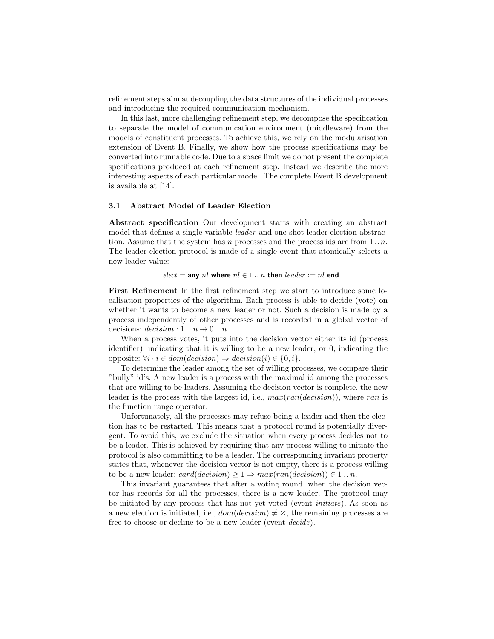refinement steps aim at decoupling the data structures of the individual processes and introducing the required communication mechanism.

In this last, more challenging refinement step, we decompose the specification to separate the model of communication environment (middleware) from the models of constituent processes. To achieve this, we rely on the modularisation extension of Event B. Finally, we show how the process specifications may be converted into runnable code. Due to a space limit we do not present the complete specifications produced at each refinement step. Instead we describe the more interesting aspects of each particular model. The complete Event B development is available at [14].

#### 3.1 Abstract Model of Leader Election

Abstract specification Our development starts with creating an abstract model that defines a single variable leader and one-shot leader election abstraction. Assume that the system has n processes and the process ids are from  $1 \dots n$ . The leader election protocol is made of a single event that atomically selects a new leader value:

 $elect =$  any nl where  $nl \in 1..n$  then leader := nl end

First Refinement In the first refinement step we start to introduce some localisation properties of the algorithm. Each process is able to decide (vote) on whether it wants to become a new leader or not. Such a decision is made by a process independently of other processes and is recorded in a global vector of decisions:  $decision: 1 \dots n \rightarrow 0 \dots n$ .

When a process votes, it puts into the decision vector either its id (process identifier), indicating that it is willing to be a new leader, or 0, indicating the opposite:  $\forall i \cdot i \in dom(decision) \Rightarrow decision(i) \in \{0, i\}.$ 

To determine the leader among the set of willing processes, we compare their "bully" id's. A new leader is a process with the maximal id among the processes that are willing to be leaders. Assuming the decision vector is complete, the new leader is the process with the largest id, i.e.,  $max(ran(decision))$ , where ran is the function range operator.

Unfortunately, all the processes may refuse being a leader and then the election has to be restarted. This means that a protocol round is potentially divergent. To avoid this, we exclude the situation when every process decides not to be a leader. This is achieved by requiring that any process willing to initiate the protocol is also committing to be a leader. The corresponding invariant property states that, whenever the decision vector is not empty, there is a process willing to be a new leader:  $card(decision) \geq 1 \Rightarrow max(ran(decision)) \in 1 ... n$ .

This invariant guarantees that after a voting round, when the decision vector has records for all the processes, there is a new leader. The protocol may be initiated by any process that has not yet voted (event initiate). As soon as a new election is initiated, i.e.,  $dom-decision \neq \emptyset$ , the remaining processes are free to choose or decline to be a new leader (event decide).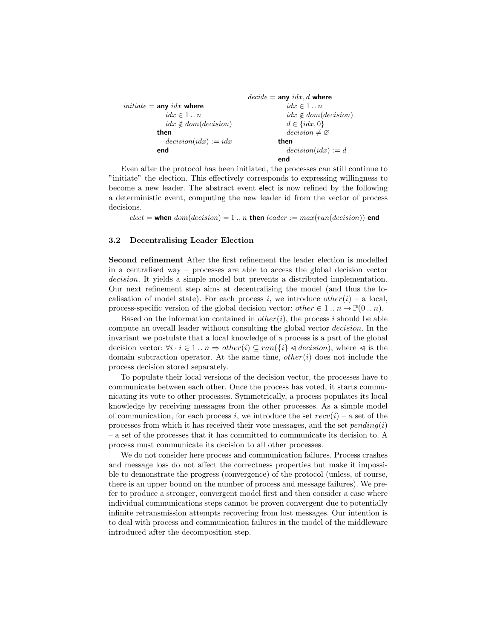```
initiate = any idx where
               idx \in 1 \dots nidx \notin dom(decision)then
               decision(idx) := idxend
                                              decide = \text{any } i dx, d \text{ where}idx \in 1 \dots nidx \notin dom(decision)d \in \{idx, 0\}decision \neq \emptysetthen
                                                             decision(idx) := dend
```
Even after the protocol has been initiated, the processes can still continue to "initiate" the election. This effectively corresponds to expressing willingness to become a new leader. The abstract event elect is now refined by the following a deterministic event, computing the new leader id from the vector of process decisions.

 $elect =$  when  $dom(decision) = 1...n$  then  $leader := max(rangecision))$  end

## 3.2 Decentralising Leader Election

Second refinement After the first refinement the leader election is modelled in a centralised way – processes are able to access the global decision vector decision. It yields a simple model but prevents a distributed implementation. Our next refinement step aims at decentralising the model (and thus the localisation of model state). For each process i, we introduce other(i) – a local, process-specific version of the global decision vector: other ∈ 1 .. n → P(0 .. n).

Based on the information contained in  $other(i)$ , the process i should be able compute an overall leader without consulting the global vector decision. In the invariant we postulate that a local knowledge of a process is a part of the global decision vector:  $\forall i \cdot i \in 1 \dots n \Rightarrow other(i) \subseteq ran(\{i\} \Leftrightarrow decision)$ , where  $\Leftrightarrow$  is the domain subtraction operator. At the same time,  $other(i)$  does not include the process decision stored separately.

To populate their local versions of the decision vector, the processes have to communicate between each other. Once the process has voted, it starts communicating its vote to other processes. Symmetrically, a process populates its local knowledge by receiving messages from the other processes. As a simple model of communication, for each process i, we introduce the set  $recv(i)$  – a set of the processes from which it has received their vote messages, and the set  $pending(i)$ – a set of the processes that it has committed to communicate its decision to. A process must communicate its decision to all other processes.

We do not consider here process and communication failures. Process crashes and message loss do not affect the correctness properties but make it impossible to demonstrate the progress (convergence) of the protocol (unless, of course, there is an upper bound on the number of process and message failures). We prefer to produce a stronger, convergent model first and then consider a case where individual communications steps cannot be proven convergent due to potentially infinite retransmission attempts recovering from lost messages. Our intention is to deal with process and communication failures in the model of the middleware introduced after the decomposition step.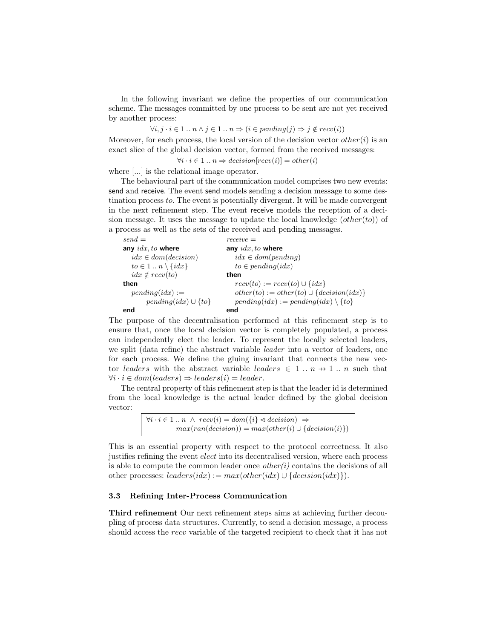In the following invariant we define the properties of our communication scheme. The messages committed by one process to be sent are not yet received by another process:

 $\forall i, j \cdot i \in 1 \dots n \land j \in 1 \dots n \Rightarrow (i \in pending(j) \Rightarrow j \notin rev(i))$ 

Moreover, for each process, the local version of the decision vector  $other(i)$  is an exact slice of the global decision vector, formed from the received messages:

 $\forall i \cdot i \in 1 \dots n \Rightarrow decision[recv(i)] = other(i)$ 

where [...] is the relational image operator.

The behavioural part of the communication model comprises two new events: send and receive. The event send models sending a decision message to some destination process to. The event is potentially divergent. It will be made convergent in the next refinement step. The event receive models the reception of a decision message. It uses the message to update the local knowledge  $(\text{other}(to))$  of a process as well as the sets of the received and pending messages.

| $send =$                             | $receive =$                                      |
|--------------------------------------|--------------------------------------------------|
| any $idx, to$ where                  | any $idx, to$ where                              |
| $idx \in dom(decision)$              | $idx \in dom(pending)$                           |
| $to \in 1 \dots n \setminus \{idx\}$ | $to \in pending(idx)$                            |
| $idx \notin rev(to)$                 | then                                             |
| then                                 | $recv(to) := recv(to) \cup \{idx\}$              |
| $pending(idx) :=$                    | $other(to) := other(to) \cup \{decision(idx)\}\$ |
| $pending(idx) \cup \{to\}$           | $pending(idx) := pending(idx) \setminus \{to\}$  |
| end                                  | end                                              |

The purpose of the decentralisation performed at this refinement step is to ensure that, once the local decision vector is completely populated, a process can independently elect the leader. To represent the locally selected leaders, we split (data refine) the abstract variable leader into a vector of leaders, one for each process. We define the gluing invariant that connects the new vector leaders with the abstract variable leaders  $\in 1 \dots n + 1 \dots n$  such that  $\forall i \cdot i \in dom( leaders) \Rightarrow leaders(i) = leader.$ 

The central property of this refinement step is that the leader id is determined from the local knowledge is the actual leader defined by the global decision vector:

> $\forall i \cdot i \in 1 \dots n \land \text{recv}(i) = \text{dom}(\{i\} \triangleleft \text{decision}) \implies$  $max(ran(decision)) = max(other(i) \cup \{decision(i)\})$

This is an essential property with respect to the protocol correctness. It also justifies refining the event *elect* into its decentralised version, where each process is able to compute the common leader once  $other(i)$  contains the decisions of all other processes:  $leads(idx) := max(other(idx) \cup \{decision(idx)\}).$ 

## 3.3 Refining Inter-Process Communication

Third refinement Our next refinement steps aims at achieving further decoupling of process data structures. Currently, to send a decision message, a process should access the recv variable of the targeted recipient to check that it has not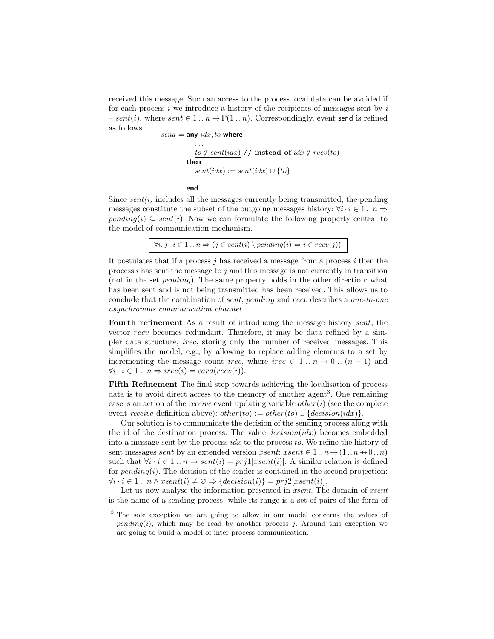received this message. Such an access to the process local data can be avoided if for each process i we introduce a history of the recipients of messages sent by i – sent(i), where sent  $\in 1 \dots n \to \mathbb{P}(1 \dots n)$ . Correspondingly, event send is refined as follows

 $send =$ any  $idx, to$  where

$$
\begin{array}{l}\n\cdots \\
\text{to } \underline{\notin} \operatorname{sent}(\text{idx}) \text{ // instead of } \text{idx} \notin \operatorname{recv}(to) \\
\text{then} \\
\operatorname{sent}(\text{idx}) := \operatorname{sent}(\text{idx}) \cup \{\text{to}\} \\
\cdots \\
\text{end}\n\end{array}
$$

Since  $sent(i)$  includes all the messages currently being transmitted, the pending messages constitute the subset of the outgoing messages history:  $\forall i \cdot i \in 1..n \Rightarrow$ pending(i)  $\subseteq sent(i)$ . Now we can formulate the following property central to the model of communication mechanism.

$$
\forall i,j \cdot i \in 1 \ldots n \Rightarrow (j \in sent(i) \setminus pending(i) \Leftrightarrow i \in recv(j))
$$

It postulates that if a process  $j$  has received a message from a process  $i$  then the process i has sent the message to j and this message is not currently in transition (not in the set pending). The same property holds in the other direction: what has been sent and is not being transmitted has been received. This allows us to conclude that the combination of sent, pending and recv describes a one-to-one asynchronous communication channel.

Fourth refinement As a result of introducing the message history sent, the vector recv becomes redundant. Therefore, it may be data refined by a simpler data structure, irec, storing only the number of received messages. This simplifies the model, e.g., by allowing to replace adding elements to a set by incrementing the message count *irec*, where  $\text{irec} \in 1 \dots n \to 0 \dots (n-1)$  and  $\forall i \cdot i \in 1 \ldots n \Rightarrow irec(i) = card(recv(i)).$ 

Fifth Refinement The final step towards achieving the localisation of process data is to avoid direct access to the memory of another agent<sup>3</sup>. One remaining case is an action of the *receive* event updating variable  $other(i)$  (see the complete event receive definition above):  $other(to) := other(to) \cup \{decision(idx)\}.$ 

Our solution is to communicate the decision of the sending process along with the id of the destination process. The value  $decision(idx)$  becomes embedded into a message sent by the process idx to the process to. We refine the history of sent messages sent by an extended version xsent: xsent  $\in 1 \dots n \rightarrow (1 \dots n + 0 \dots n)$ such that  $\forall i \cdot i \in 1 \dots n \Rightarrow sent(i) = p r j1[xsent(i)].$  A similar relation is defined for  $pending(i)$ . The decision of the sender is contained in the second projection:  $\forall i \cdot i \in 1 \dots n \land xsent(i) \neq \emptyset \Rightarrow \{decision(i)\} = pri2[xsent(i)].$ 

Let us now analyse the information presented in *xsent*. The domain of *xsent* is the name of a sending process, while its range is a set of pairs of the form of

<sup>3</sup> The sole exception we are going to allow in our model concerns the values of pending(i), which may be read by another process j. Around this exception we are going to build a model of inter-process communication.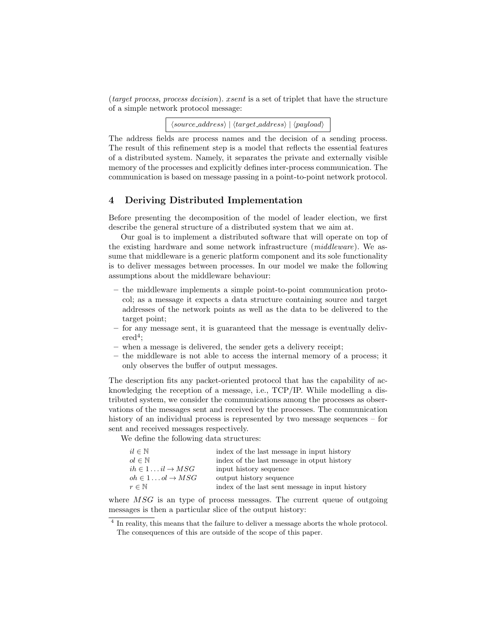(target process, process decision). xsent is a set of triplet that have the structure of a simple network protocol message:

 $\langle source\_address \rangle | \langle target\_address \rangle | \langle payload \rangle$ 

The address fields are process names and the decision of a sending process. The result of this refinement step is a model that reflects the essential features of a distributed system. Namely, it separates the private and externally visible memory of the processes and explicitly defines inter-process communication. The communication is based on message passing in a point-to-point network protocol.

## 4 Deriving Distributed Implementation

Before presenting the decomposition of the model of leader election, we first describe the general structure of a distributed system that we aim at.

Our goal is to implement a distributed software that will operate on top of the existing hardware and some network infrastructure (middleware). We assume that middleware is a generic platform component and its sole functionality is to deliver messages between processes. In our model we make the following assumptions about the middleware behaviour:

- the middleware implements a simple point-to-point communication protocol; as a message it expects a data structure containing source and target addresses of the network points as well as the data to be delivered to the target point;
- for any message sent, it is guaranteed that the message is eventually deliv- $\mathrm{ered}^4;$
- when a message is delivered, the sender gets a delivery receipt;
- the middleware is not able to access the internal memory of a process; it only observes the buffer of output messages.

The description fits any packet-oriented protocol that has the capability of acknowledging the reception of a message, i.e., TCP/IP. While modelling a distributed system, we consider the communications among the processes as observations of the messages sent and received by the processes. The communication history of an individual process is represented by two message sequences – for sent and received messages respectively.

We define the following data structures:

| $il \in \mathbb{N}$                 | index of the last message in input history      |
|-------------------------------------|-------------------------------------------------|
| $ol \in \mathbb{N}$                 | index of the last message in otput history      |
| $ih \in 1 \dots il \rightarrow MSG$ | input history sequence                          |
| $oh \in 1 \dots ol \rightarrow MSG$ | output history sequence                         |
| $r \in \mathbb{N}$                  | index of the last sent message in input history |

where  $MSG$  is an type of process messages. The current queue of outgoing messages is then a particular slice of the output history:

<sup>&</sup>lt;sup>4</sup> In reality, this means that the failure to deliver a message aborts the whole protocol. The consequences of this are outside of the scope of this paper.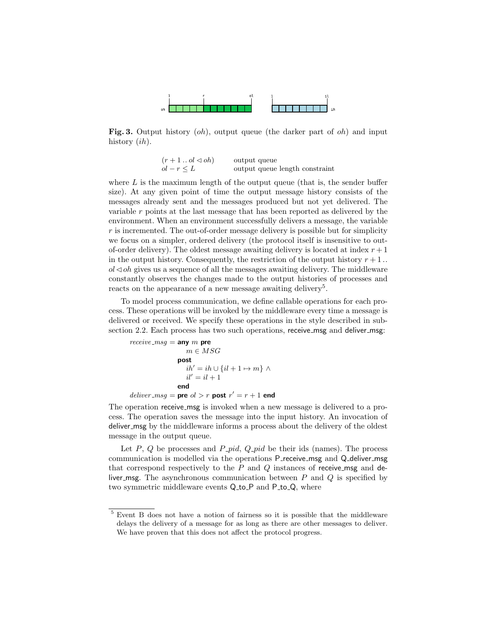

Fig. 3. Output history  $(oh)$ , output queue (the darker part of  $oh$ ) and input history (ih).

| $(r+1 \dots ol \triangleleft oh)$ | output queue                   |
|-----------------------------------|--------------------------------|
| $ol - r \leq L$                   | output queue length constraint |

where  $L$  is the maximum length of the output queue (that is, the sender buffer size). At any given point of time the output message history consists of the messages already sent and the messages produced but not yet delivered. The variable  $r$  points at the last message that has been reported as delivered by the environment. When an environment successfully delivers a message, the variable  $r$  is incremented. The out-of-order message delivery is possible but for simplicity we focus on a simpler, ordered delivery (the protocol itself is insensitive to outof-order delivery). The oldest message awaiting delivery is located at index  $r + 1$ in the output history. Consequently, the restriction of the output history  $r + 1$ .  $ol \triangleleft oh$  gives us a sequence of all the messages awaiting delivery. The middleware constantly observes the changes made to the output histories of processes and reacts on the appearance of a new message awaiting delivery<sup>5</sup>.

To model process communication, we define callable operations for each process. These operations will be invoked by the middleware every time a message is delivered or received. We specify these operations in the style described in subsection 2.2. Each process has two such operations, receive msg and deliver msg:

$$
receive\_msg = \text{any } m \text{ pre}
$$
\n
$$
m \in MSG
$$
\n
$$
\text{post}
$$
\n
$$
ih' = ih \cup \{il + 1 \mapsto m\} \land
$$
\n
$$
il' = il + 1
$$
\n
$$
\text{end}
$$
\n
$$
deliver\_msg = \text{pre } ol > r \text{ post } r' = r + 1 \text{ end}
$$

The operation receive msg is invoked when a new message is delivered to a process. The operation saves the message into the input history. An invocation of deliver\_msg by the middleware informs a process about the delivery of the oldest message in the output queue.

Let  $P$ ,  $Q$  be processes and  $P$ -pid,  $Q$ -pid be their ids (names). The process communication is modelled via the operations P receive msg and Q deliver msg that correspond respectively to the  $P$  and  $Q$  instances of receive msg and deliver msg. The asynchronous communication between  $P$  and  $Q$  is specified by two symmetric middleware events Q\_to\_P and P\_to\_Q, where

<sup>5</sup> Event B does not have a notion of fairness so it is possible that the middleware delays the delivery of a message for as long as there are other messages to deliver. We have proven that this does not affect the protocol progress.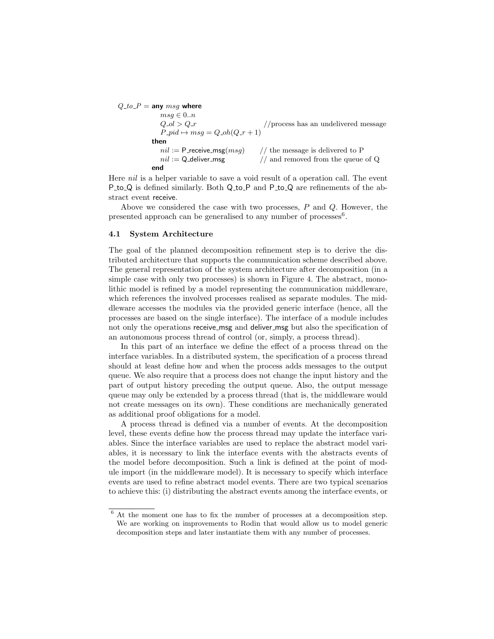```
Q_to_P = any msg where
             msg \in 0..nQ_{\text{-}ol} > Q_{\text{-}r} //process has an undelivered message
             P\_pid \mapsto msg = Q\_oh(Q\_r + 1)then
            nil := \mathsf{P}-receive-msg(msg) // the message is delivered to P
            nil := Q deliver msg // and removed from the queue of Q
          end
```
Here *nil* is a helper variable to save a void result of a operation call. The event P<sub>to</sub> Q is defined similarly. Both Q<sub>to</sub> P and P<sub>to</sub> Q are refinements of the abstract event receive.

Above we considered the case with two processes, P and Q. However, the presented approach can be generalised to any number of processes  $6$ .

#### 4.1 System Architecture

The goal of the planned decomposition refinement step is to derive the distributed architecture that supports the communication scheme described above. The general representation of the system architecture after decomposition (in a simple case with only two processes) is shown in Figure 4. The abstract, monolithic model is refined by a model representing the communication middleware, which references the involved processes realised as separate modules. The middleware accesses the modules via the provided generic interface (hence, all the processes are based on the single interface). The interface of a module includes not only the operations receive msg and deliver msg but also the specification of an autonomous process thread of control (or, simply, a process thread).

In this part of an interface we define the effect of a process thread on the interface variables. In a distributed system, the specification of a process thread should at least define how and when the process adds messages to the output queue. We also require that a process does not change the input history and the part of output history preceding the output queue. Also, the output message queue may only be extended by a process thread (that is, the middleware would not create messages on its own). These conditions are mechanically generated as additional proof obligations for a model.

A process thread is defined via a number of events. At the decomposition level, these events define how the process thread may update the interface variables. Since the interface variables are used to replace the abstract model variables, it is necessary to link the interface events with the abstracts events of the model before decomposition. Such a link is defined at the point of module import (in the middleware model). It is necessary to specify which interface events are used to refine abstract model events. There are two typical scenarios to achieve this: (i) distributing the abstract events among the interface events, or

<sup>&</sup>lt;sup>6</sup> At the moment one has to fix the number of processes at a decomposition step. We are working on improvements to Rodin that would allow us to model generic decomposition steps and later instantiate them with any number of processes.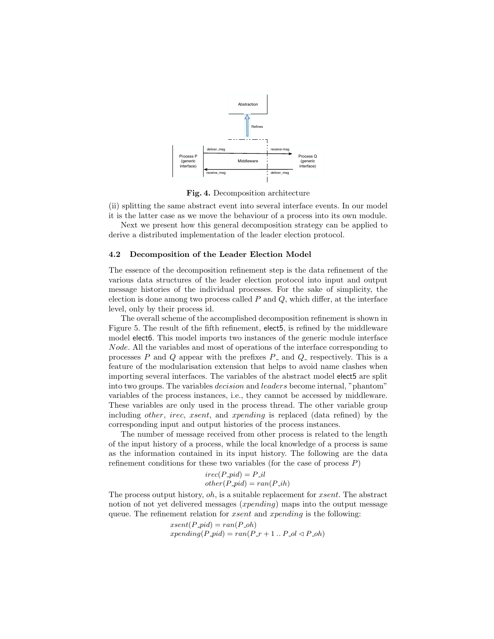

Fig. 4. Decomposition architecture

(ii) splitting the same abstract event into several interface events. In our model it is the latter case as we move the behaviour of a process into its own module.

Next we present how this general decomposition strategy can be applied to derive a distributed implementation of the leader election protocol.

#### 4.2 Decomposition of the Leader Election Model

The essence of the decomposition refinement step is the data refinement of the various data structures of the leader election protocol into input and output message histories of the individual processes. For the sake of simplicity, the election is done among two process called  $P$  and  $Q$ , which differ, at the interface level, only by their process id.

The overall scheme of the accomplished decomposition refinement is shown in Figure 5. The result of the fifth refinement, elect5, is refined by the middleware model elect6. This model imports two instances of the generic module interface Node. All the variables and most of operations of the interface corresponding to processes  $P$  and  $Q$  appear with the prefixes  $P$  and  $Q$  respectively. This is a feature of the modularisation extension that helps to avoid name clashes when importing several interfaces. The variables of the abstract model elect5 are split into two groups. The variables decision and leaders become internal, "phantom" variables of the process instances, i.e., they cannot be accessed by middleware. These variables are only used in the process thread. The other variable group including other, irec, xsent, and xpending is replaced (data refined) by the corresponding input and output histories of the process instances.

The number of message received from other process is related to the length of the input history of a process, while the local knowledge of a process is same as the information contained in its input history. The following are the data refinement conditions for these two variables (for the case of process  $P$ )

$$
irec(P\_pid) = P\_il
$$
  

$$
other(P\_pid) = ran(P\_ih)
$$

The process output history, oh, is a suitable replacement for xsent. The abstract notion of not yet delivered messages (*xpending*) maps into the output message queue. The refinement relation for *xsent* and *xpending* is the following:

$$
xsent(P\_pid) = ran(P\_oh)
$$
  

$$
xpending(P\_pid) = ran(P\_r + 1 ... P\_ol \lhd P\_oh)
$$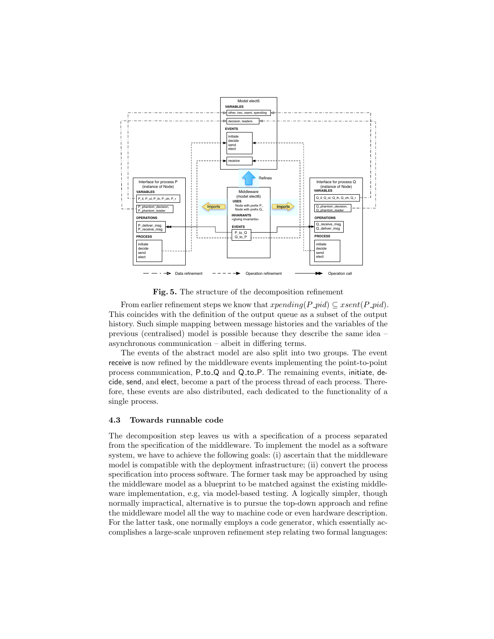

Fig. 5. The structure of the decomposition refinement

From earlier refinement steps we know that  $xpending(P\_pid) \subseteq xsent(P\_pid)$ . This coincides with the definition of the output queue as a subset of the output history. Such simple mapping between message histories and the variables of the previous (centralised) model is possible because they describe the same idea – asynchronous communication – albeit in differing terms.

The events of the abstract model are also split into two groups. The event receive is now refined by the middleware events implementing the point-to-point process communication, P to Q and Q to P. The remaining events, initiate, decide, send, and elect, become a part of the process thread of each process. Therefore, these events are also distributed, each dedicated to the functionality of a single process.

#### 4.3 Towards runnable code

The decomposition step leaves us with a specification of a process separated from the specification of the middleware. To implement the model as a software system, we have to achieve the following goals: (i) ascertain that the middleware model is compatible with the deployment infrastructure; (ii) convert the process specification into process software. The former task may be approached by using the middleware model as a blueprint to be matched against the existing middleware implementation, e.g, via model-based testing. A logically simpler, though normally impractical, alternative is to pursue the top-down approach and refine the middleware model all the way to machine code or even hardware description. For the latter task, one normally employs a code generator, which essentially accomplishes a large-scale unproven refinement step relating two formal languages: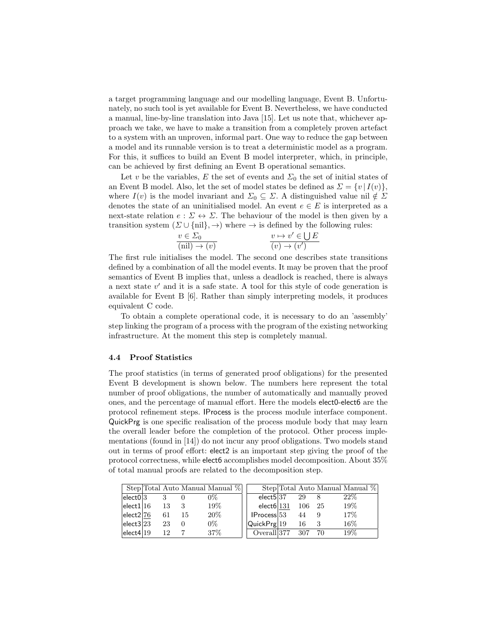a target programming language and our modelling language, Event B. Unfortunately, no such tool is yet available for Event B. Nevertheless, we have conducted a manual, line-by-line translation into Java [15]. Let us note that, whichever approach we take, we have to make a transition from a completely proven artefact to a system with an unproven, informal part. One way to reduce the gap between a model and its runnable version is to treat a deterministic model as a program. For this, it suffices to build an Event B model interpreter, which, in principle, can be achieved by first defining an Event B operational semantics.

Let v be the variables, E the set of events and  $\Sigma_0$  the set of initial states of an Event B model. Also, let the set of model states be defined as  $\Sigma = \{v | I(v)\},\$ where  $I(v)$  is the model invariant and  $\Sigma_0 \subseteq \Sigma$ . A distinguished value nil  $\notin \Sigma$ denotes the state of an uninitialised model. An event  $e \in E$  is interpreted as a next-state relation  $e: \Sigma \leftrightarrow \Sigma$ . The behaviour of the model is then given by a transition system  $(\Sigma \cup \{\text{nil}\}, \to)$  where  $\to$  is defined by the following rules:

| $v \in \Sigma_0$        | $v \mapsto v' \in \bigcup E$ |  |  |  |
|-------------------------|------------------------------|--|--|--|
| $(nil) \rightarrow (v)$ | $(v) \rightarrow (v')$       |  |  |  |

The first rule initialises the model. The second one describes state transitions defined by a combination of all the model events. It may be proven that the proof semantics of Event B implies that, unless a deadlock is reached, there is always a next state  $v'$  and it is a safe state. A tool for this style of code generation is available for Event B [6]. Rather than simply interpreting models, it produces equivalent C code.

To obtain a complete operational code, it is necessary to do an 'assembly' step linking the program of a process with the program of the existing networking infrastructure. At the moment this step is completely manual.

## 4.4 Proof Statistics

The proof statistics (in terms of generated proof obligations) for the presented Event B development is shown below. The numbers here represent the total number of proof obligations, the number of automatically and manually proved ones, and the percentage of manual effort. Here the models elect0-elect6 are the protocol refinement steps. IProcess is the process module interface component. QuickPrg is one specific realisation of the process module body that may learn the overall leader before the completion of the protocol. Other process implementations (found in [14]) do not incur any proof obligations. Two models stand out in terms of proof effort: elect2 is an important step giving the proof of the protocol correctness, while elect6 accomplishes model decomposition. About 35% of total manual proofs are related to the decomposition step.

|                                     |      |          | Step Total Auto Manual Manual % |                           |    |     | Step Total Auto Manual Manual % |  |
|-------------------------------------|------|----------|---------------------------------|---------------------------|----|-----|---------------------------------|--|
| $ \mathsf{elect}0 3 $               |      |          | $0\%$                           | elect $5 37$              | 29 | - 8 | 22%                             |  |
| $ \mathsf{electl} 16$               | -13- | 3        | 19%                             | $elect6 131$ 106 25       |    |     | 19%                             |  |
| $ \mathsf{elect2} $ $\overline{76}$ | 61   | 15       | $20\%$                          | $I$ Process $ 53$         | 44 | - 9 | 17%                             |  |
| $ \mathsf{elect}3 23 $              | 23   | $\Omega$ | $0\%$                           | $\sqrt{QuickPrg}$ 19 16 3 |    |     | 16%                             |  |
| $ $ elect4 $ 19 $                   | 12   |          | 37%                             | Overall 377 307 70        |    |     | 19\%                            |  |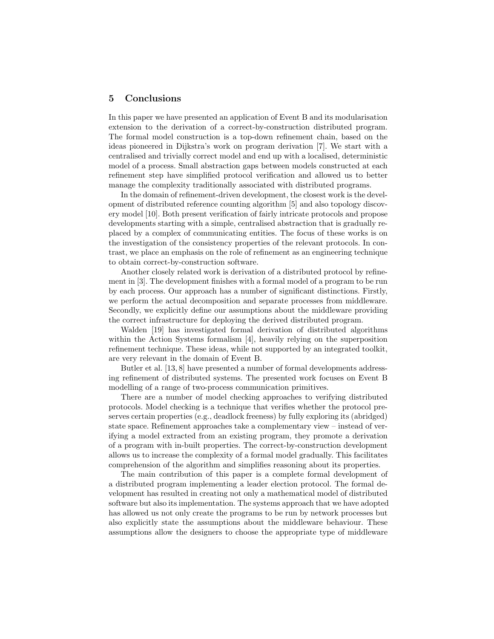## 5 Conclusions

In this paper we have presented an application of Event B and its modularisation extension to the derivation of a correct-by-construction distributed program. The formal model construction is a top-down refinement chain, based on the ideas pioneered in Dijkstra's work on program derivation [7]. We start with a centralised and trivially correct model and end up with a localised, deterministic model of a process. Small abstraction gaps between models constructed at each refinement step have simplified protocol verification and allowed us to better manage the complexity traditionally associated with distributed programs.

In the domain of refinement-driven development, the closest work is the development of distributed reference counting algorithm [5] and also topology discovery model [10]. Both present verification of fairly intricate protocols and propose developments starting with a simple, centralised abstraction that is gradually replaced by a complex of communicating entities. The focus of these works is on the investigation of the consistency properties of the relevant protocols. In contrast, we place an emphasis on the role of refinement as an engineering technique to obtain correct-by-construction software.

Another closely related work is derivation of a distributed protocol by refinement in [3]. The development finishes with a formal model of a program to be run by each process. Our approach has a number of significant distinctions. Firstly, we perform the actual decomposition and separate processes from middleware. Secondly, we explicitly define our assumptions about the middleware providing the correct infrastructure for deploying the derived distributed program.

Walden [19] has investigated formal derivation of distributed algorithms within the Action Systems formalism [4], heavily relying on the superposition refinement technique. These ideas, while not supported by an integrated toolkit, are very relevant in the domain of Event B.

Butler et al. [13, 8] have presented a number of formal developments addressing refinement of distributed systems. The presented work focuses on Event B modelling of a range of two-process communication primitives.

There are a number of model checking approaches to verifying distributed protocols. Model checking is a technique that verifies whether the protocol preserves certain properties (e.g., deadlock freeness) by fully exploring its (abridged) state space. Refinement approaches take a complementary view – instead of verifying a model extracted from an existing program, they promote a derivation of a program with in-built properties. The correct-by-construction development allows us to increase the complexity of a formal model gradually. This facilitates comprehension of the algorithm and simplifies reasoning about its properties.

The main contribution of this paper is a complete formal development of a distributed program implementing a leader election protocol. The formal development has resulted in creating not only a mathematical model of distributed software but also its implementation. The systems approach that we have adopted has allowed us not only create the programs to be run by network processes but also explicitly state the assumptions about the middleware behaviour. These assumptions allow the designers to choose the appropriate type of middleware